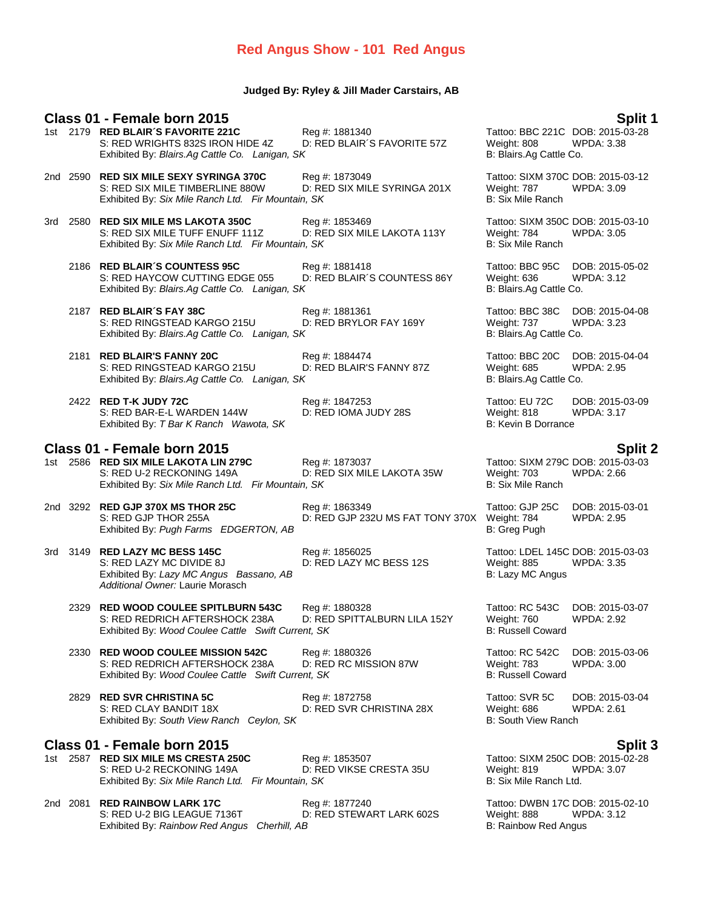# **Red Angus Show - 101 Red Angus**

### **Judged By: Ryley & Jill Mader Carstairs, AB**

|     |                                                                                                                                                         | $\mathbf{v}$ . $\mathbf{v}$ , $\mathbf{v}$ , $\mathbf{v}$ and $\mathbf{v}$ , $\mathbf{v}$ , $\mathbf{v}$ , $\mathbf{v}$ , $\mathbf{v}$ , $\mathbf{v}$ , $\mathbf{v}$ , $\mathbf{v}$ , $\mathbf{v}$ , $\mathbf{v}$ , $\mathbf{v}$ , $\mathbf{v}$ , $\mathbf{v}$ , $\mathbf{v}$ , $\mathbf{v}$ , $\mathbf{v}$ , $\mathbf{v}$ , $\mathbf{v}$ |                                                                              |                                      |
|-----|---------------------------------------------------------------------------------------------------------------------------------------------------------|-------------------------------------------------------------------------------------------------------------------------------------------------------------------------------------------------------------------------------------------------------------------------------------------------------------------------------------------|------------------------------------------------------------------------------|--------------------------------------|
|     | Class 01 - Female born 2015<br>1st 2179 RED BLAIR'S FAVORITE 221C<br>S: RED WRIGHTS 832S IRON HIDE 4Z<br>Exhibited By: Blairs.Ag Cattle Co. Lanigan, SK | Reg #: 1881340<br>D: RED BLAIR'S FAVORITE 57Z                                                                                                                                                                                                                                                                                             | Tattoo: BBC 221C DOB: 2015-03-28<br>Weight: 808<br>B: Blairs.Ag Cattle Co.   | Split 1<br>WPDA: 3.38                |
|     | 2nd 2590 RED SIX MILE SEXY SYRINGA 370C<br>S: RED SIX MILE TIMBERLINE 880W<br>Exhibited By: Six Mile Ranch Ltd. Fir Mountain, SK                        | Reg #: 1873049<br>D: RED SIX MILE SYRINGA 201X                                                                                                                                                                                                                                                                                            | Tattoo: SIXM 370C DOB: 2015-03-12<br>Weight: 787<br><b>B: Six Mile Ranch</b> | WPDA: 3.09                           |
| 3rd | 2580 RED SIX MILE MS LAKOTA 350C<br>S: RED SIX MILE TUFF ENUFF 111Z<br>Exhibited By: Six Mile Ranch Ltd. Fir Mountain, SK                               | Reg #: 1853469<br>D: RED SIX MILE LAKOTA 113Y                                                                                                                                                                                                                                                                                             | Tattoo: SIXM 350C DOB: 2015-03-10<br>Weight: 784<br>B: Six Mile Ranch        | WPDA: 3.05                           |
|     | 2186 RED BLAIR'S COUNTESS 95C<br>S: RED HAYCOW CUTTING EDGE 055<br>Exhibited By: Blairs.Ag Cattle Co. Lanigan, SK                                       | Reg #: 1881418<br>D: RED BLAIR'S COUNTESS 86Y                                                                                                                                                                                                                                                                                             | Tattoo: BBC 95C<br>Weight: 636<br>B: Blairs.Ag Cattle Co.                    | DOB: 2015-05-02<br>WPDA: 3.12        |
|     | 2187 RED BLAIR'S FAY 38C<br>S: RED RINGSTEAD KARGO 215U<br>Exhibited By: Blairs.Ag Cattle Co. Lanigan, SK                                               | Reg #: 1881361<br>D: RED BRYLOR FAY 169Y                                                                                                                                                                                                                                                                                                  | Tattoo: BBC 38C<br>Weight: 737<br>B: Blairs.Ag Cattle Co.                    | DOB: 2015-04-08<br>WPDA: 3.23        |
|     | 2181 RED BLAIR'S FANNY 20C<br>S: RED RINGSTEAD KARGO 215U<br>Exhibited By: Blairs.Ag Cattle Co. Lanigan, SK                                             | Reg #: 1884474<br>D: RED BLAIR'S FANNY 87Z                                                                                                                                                                                                                                                                                                | Tattoo: BBC 20C<br>Weight: 685<br>B: Blairs.Ag Cattle Co.                    | DOB: 2015-04-04<br><b>WPDA: 2.95</b> |
|     | 2422 RED T-K JUDY 72C<br>S: RED BAR-E-L WARDEN 144W<br>Exhibited By: T Bar K Ranch Wawota, SK                                                           | Reg #: 1847253<br>D: RED IOMA JUDY 28S                                                                                                                                                                                                                                                                                                    | Tattoo: EU 72C<br>Weight: 818<br>B: Kevin B Dorrance                         | DOB: 2015-03-09<br><b>WPDA: 3.17</b> |
|     |                                                                                                                                                         |                                                                                                                                                                                                                                                                                                                                           |                                                                              |                                      |
|     | Class 01 - Female born 2015<br>1st 2586 RED SIX MILE LAKOTA LIN 279C<br>S: RED U-2 RECKONING 149A<br>Exhibited By: Six Mile Ranch Ltd. Fir Mountain, SK | Reg #: 1873037<br>D: RED SIX MILE LAKOTA 35W                                                                                                                                                                                                                                                                                              | Tattoo: SIXM 279C DOB: 2015-03-03<br>Weight: 703<br>B: Six Mile Ranch        | <b>Split 2</b><br><b>WPDA: 2.66</b>  |
|     | 2nd 3292 RED GJP 370X MS THOR 25C<br>S: RED GJP THOR 255A<br>Exhibited By: Pugh Farms EDGERTON, AB                                                      | Reg #: 1863349<br>D: RED GJP 232U MS FAT TONY 370X                                                                                                                                                                                                                                                                                        | Tattoo: GJP 25C<br>Weight: 784<br>B: Greg Pugh                               | DOB: 2015-03-01<br><b>WPDA: 2.95</b> |
|     | 3rd 3149 RED LAZY MC BESS 145C<br>S: RED LAZY MC DIVIDE 8J<br>Exhibited By: Lazy MC Angus Bassano, AB<br>Additional Owner: Laurie Morasch               | Reg #: 1856025<br>D: RED LAZY MC BESS 12S                                                                                                                                                                                                                                                                                                 | Tattoo: LDEL 145C DOB: 2015-03-03<br>Weight: 885<br>B: Lazy MC Angus         | <b>WPDA: 3.35</b>                    |
|     | 2329 RED WOOD COULEE SPITLBURN 543C<br>S: RED REDRICH AFTERSHOCK 238A<br>Exhibited By: Wood Coulee Cattle Swift Current, SK                             | Reg #: 1880328<br>D: RED SPITTALBURN LILA 152Y                                                                                                                                                                                                                                                                                            | Tattoo: RC 543C<br>Weight: 760<br><b>B: Russell Coward</b>                   | DOB: 2015-03-07<br><b>WPDA: 2.92</b> |
|     | 2330 RED WOOD COULEE MISSION 542C<br>S: RED REDRICH AFTERSHOCK 238A<br>Exhibited By: Wood Coulee Cattle Swift Current, SK                               | Reg #: 1880326<br>D: RED RC MISSION 87W                                                                                                                                                                                                                                                                                                   | Tattoo: RC 542C<br>Weight: 783<br><b>B: Russell Coward</b>                   | DOB: 2015-03-06<br><b>WPDA: 3.00</b> |
|     | 2829 RED SVR CHRISTINA 5C<br>S: RED CLAY BANDIT 18X<br>Exhibited By: South View Ranch Ceylon, SK                                                        | Reg #: 1872758<br>D: RED SVR CHRISTINA 28X                                                                                                                                                                                                                                                                                                | Tattoo: SVR 5C<br>Weight: 686<br>B: South View Ranch                         | DOB: 2015-03-04<br>WPDA: 2.61        |
|     | Class 01 - Female born 2015                                                                                                                             |                                                                                                                                                                                                                                                                                                                                           |                                                                              | Split 3                              |
|     | 1st 2587 RED SIX MILE MS CRESTA 250C<br>S: RED U-2 RECKONING 149A<br>Exhibited By: Six Mile Ranch Ltd. Fir Mountain, SK                                 | Reg #: 1853507<br>D: RED VIKSE CRESTA 35U                                                                                                                                                                                                                                                                                                 | Tattoo: SIXM 250C DOB: 2015-02-28<br>Weight: 819<br>B: Six Mile Ranch Ltd.   | WPDA: 3.07                           |
|     | 2nd 2081 RED RAINBOW LARK 17C<br>S: RED U-2 BIG LEAGUE 7136T<br>Exhibited By: Rainbow Red Angus Cherhill, AB                                            | Reg #: 1877240<br>D: RED STEWART LARK 602S                                                                                                                                                                                                                                                                                                | Tattoo: DWBN 17C DOB: 2015-02-10<br>Weight: 888<br>B: Rainbow Red Angus      | WPDA: 3.12                           |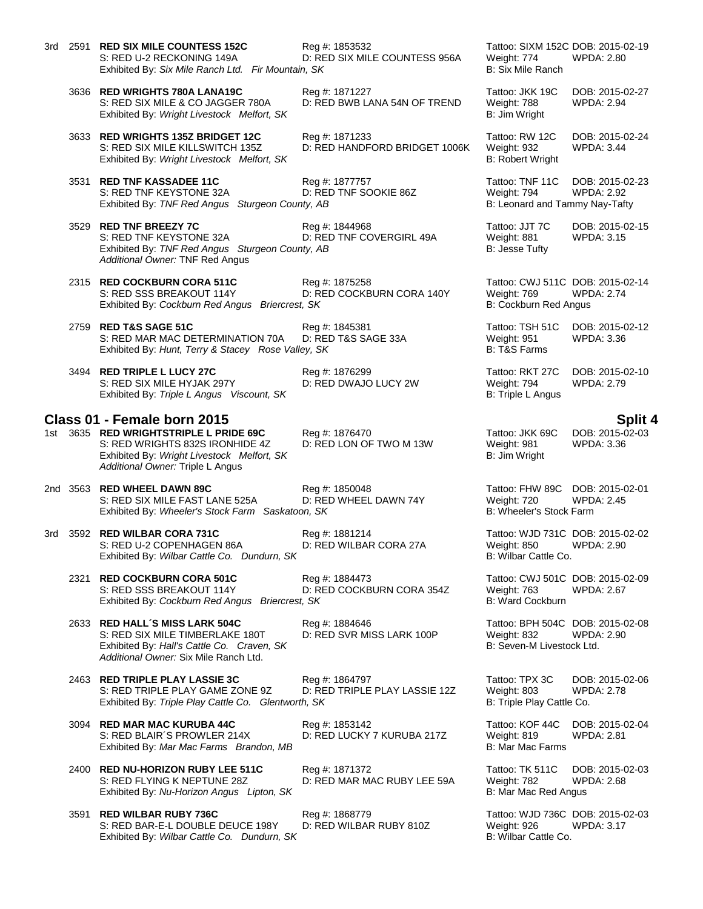3rd 2591 **RED SIX MILE COUNTESS 152C** Reg #: 1853532 Tattoo: SIXM 152C DOB: 2015-02-19<br>S: RED U-2 RECKONING 149A D: RED SIX MILE COUNTESS 956A Weight: 774 WPDA: 2.80 D: RED SIX MILE COUNTESS 956A Weight: 774<br>n, SK B: Six Mile Ranch Exhibited By: Six Mile Ranch Ltd. Fir Mountain, SK 3636 **RED WRIGHTS 780A LANA19C** Reg #: 1871227 Tattoo: JKK 19C DOB: 2015-02-27 S: RED SIX MILE & CO JAGGER 780A D: RED BWB LANA 54N OF TREND Weight: 788 WPDA: 2.94 Exhibited By: *Wright Livestock Melfort, SK* B: Jim Wright B: Jim Wright 3633 **RED WRIGHTS 135Z BRIDGET 12C** Reg #: 1871233 Tattoo: RW 12C DOB: 2015-02-24 S: RED SIX MILE KILLSWITCH 135Z D: RED HANDFORD BRIDGET 1006K Weight: 932 WPDA: 3.44 Exhibited By: *Wright Livestock Melfort, SK* B: Robert Wright 3531 **RED TNF KASSADEE 11C** Reg #: 1877757 Tattoo: TNF 11C DOB: 2015-02-23 S: RED TNF KEYSTONE 32A D: RED TNF SOOKIE 86Z Weight: 794 WPDA: 2.92<br>Exhibited By: TNF Red Angus Sturgeon County, AB B: Leonard and Tammy Nay-Tafty Exhibited By: *TNF Red Angus Sturgeon County, AB* 3529 **RED TNF BREEZY 7C** Reg #: 1844968 Tattoo: JJT 7C DOB: 2015-02-15 S: RED TNF KEYSTONE 32A D: RED TNF COVERGIRL 49A Weight: 881<br>Exhibited By: TNF Red Anaus Sturgeon County. AB B: Jesse Tufty Exhibited By: *TNF Red Angus Sturgeon County, AB Additional Owner:* TNF Red Angus 2315 **RED COCKBURN CORA 511C** Reg #: 1875258 Tattoo: CWJ 511C DOB: 2015-02-14 S: RED SSS BREAKOUT 114Y D: RED COCKBURN CORA 140Y Weight: 769 WPDA: 2.74 Exhibited By: *Cockburn Red Angus Briercrest, SK* B: Cockburn Red Angus 2759 **RED T&S SAGE 51C** Reg #: 1845381 Tattoo: TSH 51C DOB: 2015-02-12 S: RED MAR MAC DETERMINATION 70A D: RED T&S SAGE 33A Weight: 951<br>Exhibited By: Hunt. Terry & Stacey Rose Valley. SK Exhibited By: *Hunt, Terry & Stacey Rose Valley, SK* 3494 **RED TRIPLE L LUCY 27C** Reg #: 1876299 Tattoo: RKT 27C DOB: 2015-02-10 S: RED SIX MILE HYJAK 297Y D: RED DWAJO LUCY 2W Weight: 794 WPDA: 2.79 Exhibited By: Triple L Angus Viscount, SK B: Triple L Angus B: Triple L Angus **Class 01 - Female born 2015 Split 4** 1st 3635 **RED WRIGHTSTRIPLE L PRIDE 69C** Reg #: 1876470 Tattoo: JKK 69C DOB: 2015-02-03 S: RED WRIGHTS 832S IRONHIDE 4Z D: RED LON OF TWO M 13W Weight: 981<br>Exhibited By: Wright Livestock Melfort, SK B: 3.366 B: 3.366 B: 3.366 Exhibited By: Wright Livestock Melfort, SK *Additional Owner:* Triple L Angus 2nd 3563 **RED WHEEL DAWN 89C** Reg #: 1850048 Tattoo: FHW 89C DOB: 2015-02-01 S: RED SIX MILE FAST LANE 525A D: RED WHEEL DAWN 74Y Weight: 720 WPDA: 2.45<br>Exhibited By: Wheeler's Stock Farm Saskatoon, SK B: Wheeler's Stock Farm Exhibited By: Wheeler's Stock Farm Saskatoon, SK 3rd 3592 **RED WILBAR CORA 731C** Reg #: 1881214 Tattoo: WJD 731C DOB: 2015-02-02 S: RED U-2 COPENHAGEN 86A D: RED WILBAR CORA 27A Weight: 850 WPDA: 2.90 Exhibited By: Wilbar Cattle Co. Dundurn, SK 2321 **RED COCKBURN CORA 501C** Reg #: 1884473 Tattoo: CWJ 501C DOB: 2015-02-09 S: RED SSS BREAKOUT 114Y **D: RED COCKBURN CORA 354Z** Weight: 763<br>Exhibited By: *Cockburn Red Angus Briercrest. SK* B: Ward Cockburn Exhibited By: Cockburn Red Angus Briercrest, SK 2633 **RED HALL´S MISS LARK 504C** Reg #: 1884646 Tattoo: BPH 504C DOB: 2015-02-08 S: RED SIX MILE TIMBERLAKE 180T D: RED SVR MISS LARK 100P Weight: 832 WPDA: 2.90<br>Exhibited By: Hall's Cattle Co. Craven. SK B: Reven-M Livestock Ltd. Exhibited By: *Hall's Cattle Co. Craven, SK Additional Owner:* Six Mile Ranch Ltd. 2463 **RED TRIPLE PLAY LASSIE 3C** Reg #: 1864797 Tattoo: TPX 3C DOB: 2015-02-06 S: RED TRIPLE PLAY GAME ZONE 9Z D: RED TRIPLE PLAY LASSIE 12Z Weight: 803 WPDA: 2.78 Exhibited By: Triple Play Cattle Co. Glentworth, SK B: Triple Play Cattle Co. 3094 **RED MAR MAC KURUBA 44C** Reg #: 1853142 Tattoo: KOF 44C DOB: 2015-02-04 S: RED BLAIR´S PROWLER 214X D: RED LUCKY 7 KURUBA 217Z Weight: 819 WPDA: 2.81 Exhibited By: *Mar Mac Farms Brandon, MB* B: Mar Mac Farms Brandon, MB B: Mar Mac Farms 2400 **RED NU-HORIZON RUBY LEE 511C** Reg #: 1871372 Tattoo: TK 511C DOB: 2015-02-03 S: RED FLYING K NEPTUNE 28Z D: RED MAR MAC RUBY LEE 59A Weight: 782 WPDA: 2.68 Exhibited By: *Nu-Horizon Angus Lipton, SK* B: Mar Mac Red Angus 3591 **RED WILBAR RUBY 736C** Reg #: 1868779 Tattoo: WJD 736C DOB: 2015-02-03 S: RED BAR-E-L DOUBLE DEUCE 198Y D: RED WILBAR RUBY 810Z Weight: 926<br>Exhibited By: Wilbar Cattle Co. Dundurn. SK Exhibited By: Wilbar Cattle Co. Dundurn, SK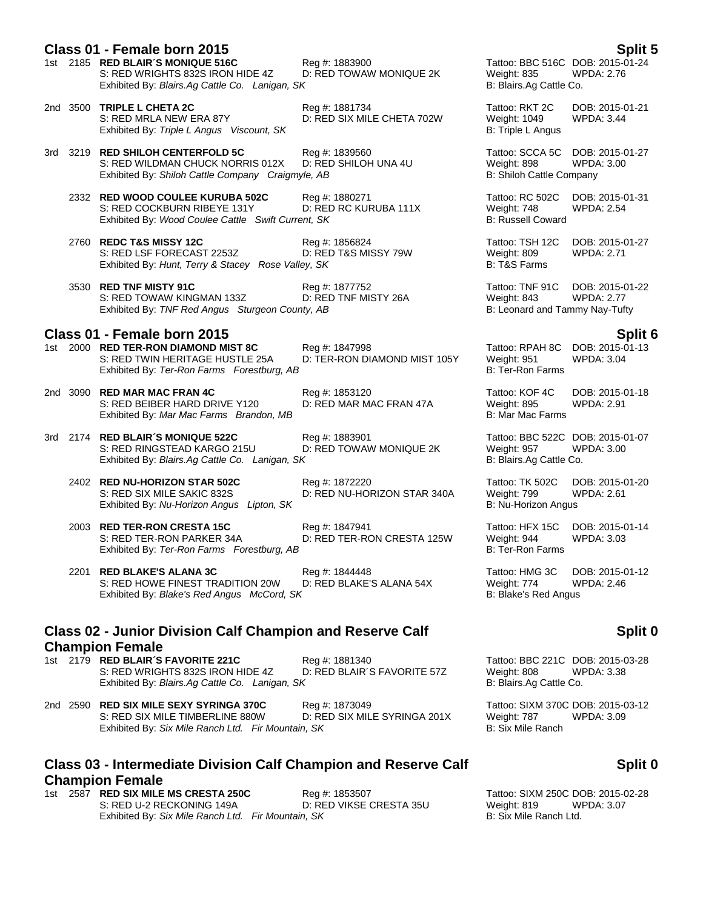### **Class 01 - Female born 2015 Split 5**

- 1st 2185 **RED BLAIR´S MONIQUE 516C** Reg #: 1883900 Tattoo: BBC 516C DOB: 2015-01-24 S: RED WRIGHTS 832S IRON HIDE 4Z D: RED TOWAW MONIQUE 2K Weight: 835 WPDA: 2.76 Exhibited By: *Blairs.Ag Cattle Co. Lanigan, SK* B: Blairs.Ag Cattle Co.
- 2nd 3500 **TRIPLE L CHETA 2C** Reg #: 1881734 Tattoo: RKT 2C DOB: 2015-01-21 Exhibited By: Triple L Angus Viscount, SK B: Triple L Angus B: Triple L Angus
- 3rd 3219 **RED SHILOH CENTERFOLD 5C** Reg #: 1839560 **Tattoo: SCCA 5C DOB: 2015-01-27** Reg #: 1839560 Tattoo: SCCA 5C DOB: 2015-01-27<br>S: RED WILDMAN CHUCK NORRIS 012X D: RED SHILOH UNA 4U Weight: 898 WPDA: 3.00 S: RED WILDMAN CHUCK NORRIS 012X D: RED SHILOH UNA 4U Weight: 898 WPDA: WPDA: 5.000 WEIGHT UNA 4U WEDA: Shiloh Cattle Company Craigmyle, AB Exhibited By: Shiloh Cattle Company Craigmyle, AB
	- 2332 **RED WOOD COULEE KURUBA 502C** Reg #: 1880271 Tattoo: RC 502C DOB: 2015-01-31 S: RED COCKBURN RIBEYE 131Y D: RED RC KURUBA 111X Weight: 748 WPDA: 2.54<br>
	Exhibited By: Wood Coulee Cattle Swift Current, SK B: Russell Coward Exhibited By: Wood Coulee Cattle Swift Current, SK
	- 2760 **REDC T&S MISSY 12C** Reg #: 1856824 Tattoo: TSH 12C DOB: 2015-01-27<br>
	S: RED LSF FORECAST 2253Z D: RED T&S MISSY 79W Weight: 809 WPDA: 2.71 S: RED LSF FORECAST 2253Z D: RED T&S MISSY 79W Weight: 809<br>Exhibited By: Hunt. Terry & Stacey Rose Valley. SK BC T&S Farms Exhibited By: *Hunt, Terry & Stacey Rose Valley, SK*
	- 3530 **RED TNF MISTY 91C** Reg #: 1877752 Tattoo: TNF 91C DOB: 2015-01-22<br>S: RED TOWAW KINGMAN 133Z D: RED TNF MISTY 26A Weight: 843 WPDA: 2.77 S: RED TOWAW KINGMAN 133Z Exhibited By: *TNF Red Angus Sturgeon County, AB* B: Leonard and Tammy Nay-Tufty

- **Class 01 - Female born 2015 Split 6** 1st 2000 **RED TER-RON DIAMOND MIST 8C** Reg #: 1847998 Tattoo: RPAH 8C DOB: 2015-0<br>S: RED TWIN HERITAGE HUSTLE 25A D: TER-RON DIAMOND MIST 105Y Weight: 951 WPDA: 3.04 S: RED TWIN HERITAGE HUSTLE 25A D: TER-RON DIAMOND MIST 105Y Weight: 951<br>Exhibited By: Ter-Ron Farms Forestburg. AB<br>B: Ter-Ron Farms Exhibited By: Ter-Ron Farms Forestburg, AB
- 2nd 3090 **RED MAR MAC FRAN 4C** Reg #: 1853120 Tattoo: KOF 4C DOB: 2015-01-18 S: RED BEIBER HARD DRIVE Y120 D: RED MAR MAC FRAN 47A Weight: 895<br>Exhibited By: *Mar Mac Farms Brandon, MB* B: Nar Mac Farms Exhibited By: Mar Mac Farms Brandon, MB

D: RED SIX MILE CHETA 702W

- 3rd 2174 **RED BLAIR´S MONIQUE 522C** Reg #: 1883901 Tattoo: BBC 522C DOB: 2015-01-07 S: RED RINGSTEAD KARGO 215U D: RED TOWAW MONIQUE 2K Weight: 957 WIER Exhibited By: *Blairs.Ag Cattle Co. Lanigan, SK* Exhibited By: Blairs.Ag Cattle Co. Lanigan, SK
	- 2402 **RED NU-HORIZON STAR 502C** Reg #: 1872220 Tattoo: TK 502C DOB: 2015-01-20 S: RED SIX MILE SAKIC 832S D: RED NU-HORIZON STAR 340A Weight: 799 WPDA: 2.61 Exhibited By: *Nu-Horizon Angus Lipton, SK* B: Nu-Horizon Angus
	- 2003 **RED TER-RON CRESTA 15C** Reg #: 1847941 Tattoo: HFX 15C DOB: 2015-01-14 S: RED TER-RON PARKER 34A D: RED TER-RON CRESTA 125W Weight: 944 WPDA: 3.03 Exhibited By: *Ter-Ron Farms Forestburg, AB* B: Ter-Ron Farms **B:** Ter-Ron Farms
	- 2201 **RED BLAKE'S ALANA 3C** Reg #: 1844448 **Reg 18 Club 12 Tattoo: HMG 3C** DOB: 2015-01-12<br>S: RED HOWE FINEST TRADITION 20W D: RED BLAKE'S ALANA 54X Weight: 774 WPDA: 2.46 S: RED HOWE FINEST TRADITION 20W D: RED BLAKE'S ALANA 54X Weight: 774 Exhibited By: *Blake's Red Angus McCord, SK* B: Blake's Red Angus B: Blake's Red Angus

### **Class 02 - Junior Division Calf Champion and Reserve Calf Champion Female**

1st 2179 **RED BLAIR´S FAVORITE 221C** Reg #: 1881340 Tattoo: BBC 221C DOB: 2015-03-28 S: RED WRIGHTS 832S IRON HIDE 4Z D: RED BLAIR'S FAVORITE 57Z Weight: 808 Exhibited By: *Blairs.Ag Cattle Co. Lanigan, SK* B: Blairs.Ag Cattle Co.

2nd 2590 **RED SIX MILE SEXY SYRINGA 370C** Reg #: 1873049 Tattoo: SIXM 370C DOB: 2015-03-12 S: RED SIX MILE TIMBERLINE 880W D: RED SIX MILE SYRINGA 201X Weight: 787 WPDA: 3.09 Exhibited By: Six Mile Ranch Ltd. Fir Mountain, SK B: Six Mile Ranch B: Six Mile Ranch

# **Class 03 - Intermediate Division Calf Champion and Reserve Calf Champion Female**

1st 2587 **RED SIX MILE MS CRESTA 250C** Reg #: 1853507 Tattoo: SIXM 250C DOB: 2015-02-28 S: RED U-2 RECKONING 149A D: RED VIKSE CRESTA 35U Weight: 819 WPDA: 3.07<br>
Exhibited By: Six Mile Ranch Ltd. Fir Mountain. SK B: Six Mile Ranch Ltd. Exhibited By: *Six Mile Ranch Ltd. Fir Mountain, SK* 

# **Split 0**

# **Split 0**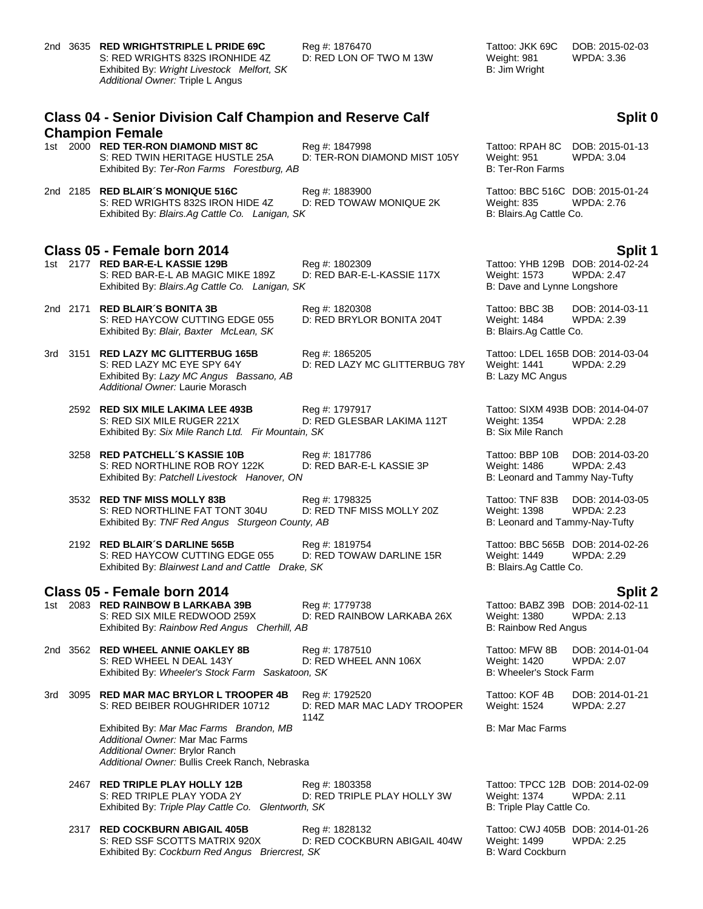2nd 3635 **RED WRIGHTSTRIPLE L PRIDE 69C** Reg #: 1876470 Tattoo: JKK 69C DOB: 2015-02-03 S: RED WRIGHTS 832S IRONHIDE 4Z D: RED LON OF TWO M 13W Weight: 981 Exhibited By: *Wright Livestock Melfort, SK* B: Jim Wright B: Jim Wright *Additional Owner:* Triple L Angus

### **Class 04 - Senior Division Calf Champion and Reserve Calf Champion Female**

1st 2000 **RED TER-RON DIAMOND MIST 8C** Reg #: 1847998 Tattoo: RPAH 8C DOB: 2015-01-13<br>S: RED TWIN HERITAGE HUSTLE 25A D: TER-RON DIAMOND MIST 105Y Weight: 951 WPDA: 3.04 S: RED TWIN HERITAGE HUSTLE 25A Exhibited By: Ter-Ron Farms Forestburg, AB **B: Ter-Ron Farms** B: Ter-Ron Farms

2nd 2185 **RED BLAIR´S MONIQUE 516C** Reg #: 1883900 Tattoo: BBC 516C DOB: 2015-01-24 S: RED WRIGHTS 832S IRON HIDE 4Z D: RED TOWAW MONIQUE 2K Weight: 835 WPDA: 2.76<br>Exhibited By: Blairs.Ag Cattle Co. Lanigan, SK B: Blairs.Ag Cattle Co. Exhibited By: Blairs.Ag Cattle Co. Lanigan, SK

### **Class 05 - Female born 2014 Split 1**

1st 2177 **RED BAR-E-L KASSIE 129B** Reg #: 1802309 Tattoo: YHB 129B DOB: 2014-02-24 S: RED BAR-E-L AB MAGIC MIKE 189Z D: RED BAR-E-L-KASSIE 117X Weight: 1573 WPDA: 2.47 Exhibited By: *Blairs.Ag Cattle Co. Lanigan, SK* B: Dave and Lynne Longshore

2nd 2171 **RED BLAIR´S BONITA 3B** Reg #: 1820308 Tattoo: BBC 3B DOB: 2014-03-11 S: RED HAYCOW CUTTING EDGE 055 D: RED BRYLOR BONITA 204T Weight: 1484 WPDA: 2.39 Exhibited By: *Blair, Baxter McLean, SK* B: Blairs.Ag Cattle Co.

3rd 3151 **RED LAZY MC GLITTERBUG 165B** Reg #: 1865205 Reg 5 Tattoo: LDEL 165B DOB: 2014-03-04<br>S: RED LAZY MC EYE SPY 64Y D: RED LAZY MC GLITTERBUG 78Y Weight: 1441 WPDA: 2.29 Exhibited By: *Lazy MC Angus Bassano, AB* B: Lazy MC Angus B: Lazy MC Angus *Additional Owner:* Laurie Morasch

2592 **RED SIX MILE LAKIMA LEE 493B** Reg #: 1797917 Tattoo: SIXM 493B DOB: 2014-04-07 S: RED SIX MILE RUGER 221X D: RED GLESBAR LAKIMA 112T Weight: 1354 Exhibited By: *Six Mile Ranch Ltd. Fir Mountain, SK* B: Six Mile Ranch B: Six Mile Ranch

3258 **RED PATCHELL 'S KASSIE 10B** Reg #: 1817786 Tattoo: BBP 10B DOB: 2014-03-20 S: RED NORTHLINE ROB ROY 122K D: RED BAR-E-L KASSIE 3P Weight: 1486 WPDA: 2.43<br>Exhibited By: *Patchell Livestock Hanover, ON* B: Leonard and Tammy Nay-Tufty Exhibited By: Patchell Livestock Hanover, ON

3532 **RED TNF MISS MOLLY 83B** Reg #: 1798325 **Tattoo: TNF 83B DOB: 2014-03-05**<br>S: RED NORTHLINE FAT TONT 304U D: RED TNF MISS MOLLY 20Z Weight: 1398 WPDA: 2.23 S: RED NORTHLINE FAT TONT 304U D: RED TNF MISS MOLLY 20Z Weight: 1398 WPDA: 2.23 Exhibited By: *TNF Red Angus Sturgeon County, AB* B: Leonard and Tammy-Nay-Tufty

2192 **RED BLAIR´S DARLINE 565B** Reg #: 1819754 Tattoo: BBC 565B DOB: 2014-02-26 S: RED HAYCOW CUTTING EDGE 055 D: RED TOWAW DARLINE 15R Weight: 1449 WPDA: 2.29 Exhibited By: *Blairwest Land and Cattle Drake, SK* B: Blairs.Ag Cattle Co.

### **Class 05 - Female born 2014 Split 2**

1st 2083 **RED RAINBOW B LARKABA 39B** Reg #: 1779738 **Tattoo: BABZ 39B DOB: 2014-02-11**<br>S: RED SIX MILE REDWOOD 259X D: RED RAINBOW LARKABA 26X Weight: 1380 WPDA: 2.13 D: RED RAINBOW LARKABA 26X Weight: 1380 Exhibited By: *Rainbow Red Angus Cherhill, AB* B: Rainbow Red Angus Cherhill, AB

2nd 3562 **RED WHEEL ANNIE OAKLEY 8B** Reg #: 1787510 **Tattoo: MFW 8B DOB: 2014-01-04** Reg #: 1787510 Tattoo: MFW 8B DOB: 2014-01-04<br>S: RED WHEEL N DEAL 143Y D: RED WHEEL ANN 106X Weight: 1420 WPDA: 2.07 D: RED WHEEL ANN 106X Exhibited By: *Wheeler's Stock Farm Saskatoon, SK* B: Wheeler's Stock Farm

3rd 3095 **RED MAR MAC BRYLOR L TROOPER 4B** Reg #: 1792520 Tattoo: KOF 4B DOB: 2014-01-21 S: RED BEIBER ROUGHRIDER 10712

114Z

Exhibited By: *Mar Mac Farms Brandon, MB* B: Mar Mac Farms Brandon, MB B: Mar Mac Farms B: Mar Mac Farms Brandon, MB *Additional Owner:* Mar Mac Farms *Additional Owner:* Brylor Ranch *Additional Owner:* Bullis Creek Ranch, Nebraska

2467 **RED TRIPLE PLAY HOLLY 12B** Req #: 1803358 Tattoo: TPCC 12B DOB: 2014-02-09 S: RED TRIPLE PLAY YODA 2Y D: RED TRIPLE PLAY HOLLY 3W Weight: 1374 WPDA: 2.11 Exhibited By: *Triple Play Cattle Co. Glentworth, SK* B: Triple Play Cattle Co.

2317 **RED COCKBURN ABIGAIL 405B** Reg #: 1828132 Tattoo: CWJ 405B DOB: 2014-01-26 S: RED SSF SCOTTS MATRIX 920X D: RED COCKBURN ABIGAIL 404W Weight: 1499 WPDA: 2.25<br>Exhibited By: Cockburn Red Angus Briercrest, SK B: Ward Cockburn Exhibited By: Cockburn Red Angus Briercrest, SK

# **Split 0**

D: RED LAZY MC GLITTERBUG 78Y Weight: 1441 WPDA: 2.29

WPDA: 2.27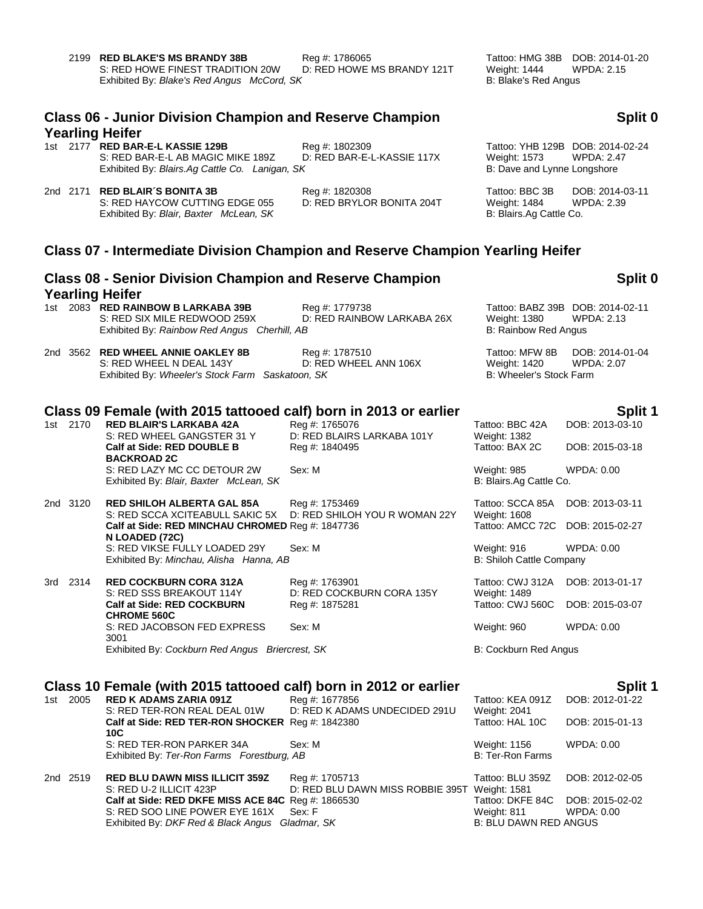| 2199 RED BLAKE'S MS BRANDY 38B             | Reg #: 1786065             |
|--------------------------------------------|----------------------------|
| S: RED HOWE FINEST TRADITION 20W           | D: RED HOWE MS BRANDY 121T |
| Exhibited By: Blake's Red Angus McCord, SK |                            |

Tattoo: HMG 38B DOB: 2014-01-20 Weight: 1444 WPDA: 2.15 B: Blake's Red Angus

## **Class 06 - Junior Division Champion and Reserve Champion Yearling Heifer**

|  | 1st 2177 RED BAR-E-L KASSIE 129B               | Reg #: 1802309             |  |
|--|------------------------------------------------|----------------------------|--|
|  | S: RED BAR-E-L AB MAGIC MIKE 189Z              | D: RED BAR-E-L-KASSIE 117X |  |
|  | Exhibited By: Blairs.Ag Cattle Co. Lanigan, SK |                            |  |

| 2nd 2171 RED BLAIR'S BONITA 3B         | Reg #: 1820308            | Tattoo: BBC 3B          | DO |
|----------------------------------------|---------------------------|-------------------------|----|
| S: RED HAYCOW CUTTING EDGE 055         | D: RED BRYLOR BONITA 204T | Weight: 1484            | WF |
| Exhibited By: Blair, Baxter McLean, SK |                           | B: Blairs.Ag Cattle Co. |    |

**10C**

## **Split 0**

Tattoo: YHB 129B DOB: 2014-02-24 Weight: 1573 WPDA: 2.47 B: Dave and Lynne Longshore

2nd 2047 **Tattoo: BBC 3B DOB: 2014-03-11**<br>2.39 Weight: 1484 WPDA: 2.39 Weight: 1484 WPDA: 2.39

# **Class 07 - Intermediate Division Champion and Reserve Champion Yearling Heifer**

|       |          | <b>Class 08 - Senior Division Champion and Reserve Champion</b><br><b>Yearling Heifer</b>                          |                                                 |                                                           | Split 0                                               |
|-------|----------|--------------------------------------------------------------------------------------------------------------------|-------------------------------------------------|-----------------------------------------------------------|-------------------------------------------------------|
| 1st - |          | 2083 RED RAINBOW B LARKABA 39B<br>S: RED SIX MILE REDWOOD 259X<br>Exhibited By: Rainbow Red Angus Cherhill, AB     | Reg #: 1779738<br>D: RED RAINBOW LARKABA 26X    | Weight: 1380<br><b>B: Rainbow Red Angus</b>               | Tattoo: BABZ 39B DOB: 2014-02-11<br><b>WPDA: 2.13</b> |
|       |          | 2nd 3562 RED WHEEL ANNIE OAKLEY 8B<br>S: RED WHEEL N DEAL 143Y<br>Exhibited By: Wheeler's Stock Farm Saskatoon, SK | Reg #: 1787510<br>D: RED WHEEL ANN 106X         | Tattoo: MFW 8B<br>Weight: 1420<br>B: Wheeler's Stock Farm | DOB: 2014-01-04<br><b>WPDA: 2.07</b>                  |
|       |          | Class 09 Female (with 2015 tattooed calf) born in 2013 or earlier                                                  |                                                 |                                                           | Split 1                                               |
|       | 1st 2170 | <b>RED BLAIR'S LARKABA 42A</b>                                                                                     | Reg #: 1765076                                  | Tattoo: BBC 42A                                           | DOB: 2013-03-10                                       |
|       |          | S: RED WHEEL GANGSTER 31 Y<br>Calf at Side: RED DOUBLE B<br><b>BACKROAD 2C</b>                                     | D: RED BLAIRS LARKABA 101Y<br>Reg #: 1840495    | <b>Weight: 1382</b><br>Tattoo: BAX 2C                     | DOB: 2015-03-18                                       |
|       |          | S: RED LAZY MC CC DETOUR 2W<br>Exhibited By: Blair, Baxter McLean, SK                                              | Sex: M                                          | <b>Weight: 985</b><br>B: Blairs.Ag Cattle Co.             | <b>WPDA: 0.00</b>                                     |
|       | 2nd 3120 | <b>RED SHILOH ALBERTA GAL 85A</b><br>S: RED SCCA XCITEABULL SAKIC 5X                                               | Reg #: 1753469<br>D: RED SHILOH YOU R WOMAN 22Y | Tattoo: SCCA 85A<br>Weight: 1608                          | DOB: 2013-03-11                                       |
|       |          | Calf at Side: RED MINCHAU CHROMED Reg #: 1847736<br>N LOADED (72C)                                                 |                                                 | Tattoo: AMCC 72C                                          | DOB: 2015-02-27                                       |
|       |          | S: RED VIKSE FULLY LOADED 29Y<br>Exhibited By: Minchau, Alisha Hanna, AB                                           | Sex: M                                          | Weight: 916<br>B: Shiloh Cattle Company                   | WPDA: 0.00                                            |
|       | 3rd 2314 | <b>RED COCKBURN CORA 312A</b><br>S: RED SSS BREAKOUT 114Y                                                          | Reg #: 1763901<br>D: RED COCKBURN CORA 135Y     | Tattoo: CWJ 312A<br>Weight: 1489                          | DOB: 2013-01-17                                       |
|       |          | <b>Calf at Side: RED COCKBURN</b><br><b>CHROME 560C</b>                                                            | Reg #: 1875281                                  | Tattoo: CWJ 560C                                          | DOB: 2015-03-07                                       |
|       |          | S: RED JACOBSON FED EXPRESS<br>3001                                                                                | Sex: M                                          | Weight: 960                                               | <b>WPDA: 0.00</b>                                     |
|       |          | Exhibited By: Cockburn Red Angus Briercrest, SK                                                                    |                                                 | <b>B: Cockburn Red Angus</b>                              |                                                       |
|       |          | Class 10 Female (with 2015 tattooed calf) born in 2012 or earlier                                                  |                                                 |                                                           | Split 1                                               |
|       | 1st 2005 | <b>RED K ADAMS ZARIA 091Z</b>                                                                                      | Reg #: 1677856                                  | Tattoo: KEA 091Z                                          | DOB: 2012-01-22                                       |
|       |          | S: RED TER-RON REAL DEAL 01W<br>Calf at Side: RED TER-RON SHOCKER Reg #: 1842380                                   | D: RED K ADAMS UNDECIDED 291U                   | Weight: 2041<br>Tattoo: HAL 10C                           | DOB: 2015-01-13                                       |

| S: RED TER-RON PARKER 34A<br>Exhibited By: Ter-Ron Farms Forestburg, AB                  | Sex: M                                                          | Weight: 1156<br>B: Ter-Ron Farms     | WPDA: 0.00 |
|------------------------------------------------------------------------------------------|-----------------------------------------------------------------|--------------------------------------|------------|
| 2nd 2519 RED BLU DAWN MISS ILLICIT 359Z<br>S: RED U-2 ILLICIT 423P                       | Reg #: 1705713<br>D: RED BLU DAWN MISS ROBBIE 395T Weight: 1581 | Tattoo: BLU 359Z DOB: 2012-02-05     |            |
| Calf at Side: RED DKFE MISS ACE 84C Reg #: 1866530                                       |                                                                 | Tattoo: DKFE 84C DOB: 2015-02-02     |            |
| S: RED SOO LINE POWER EYE 161X Sex: F<br>Exhibited By: DKF Red & Black Angus Gladmar, SK |                                                                 | Weight: 811<br>B: BLU DAWN RED ANGUS | WPDA: 0.00 |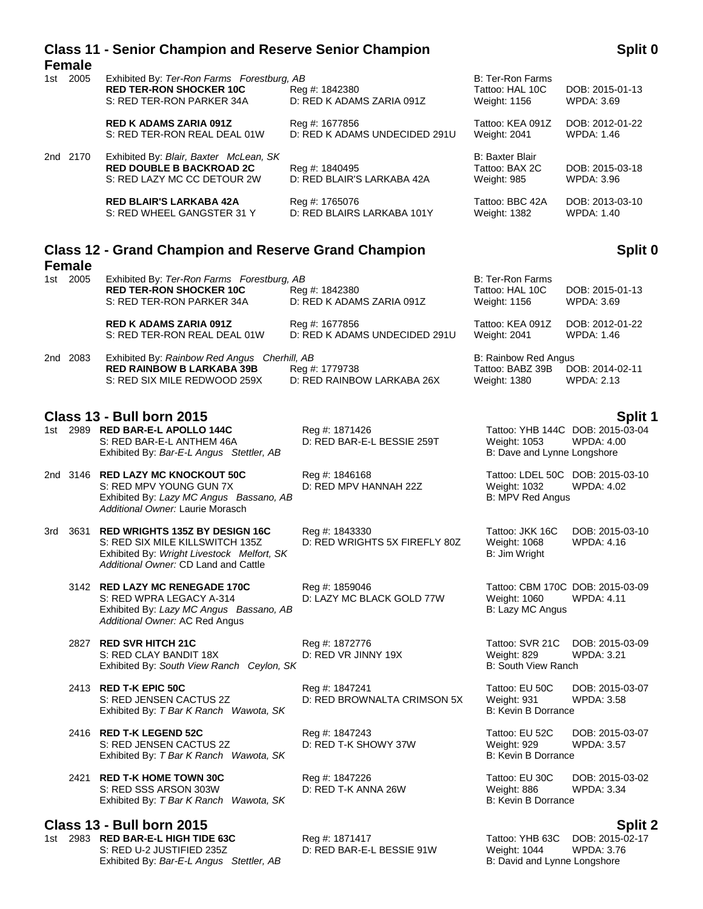| <b>Female</b> | <b>Class 11 - Senior Champion and Reserve Senior Champion</b>                                             |                                                 |                                                            | <b>Split</b>                         |
|---------------|-----------------------------------------------------------------------------------------------------------|-------------------------------------------------|------------------------------------------------------------|--------------------------------------|
| 1st 2005      | Exhibited By: Ter-Ron Farms Forestburg, AB<br><b>RED TER-RON SHOCKER 10C</b><br>S: RED TER-RON PARKER 34A | Reg #: 1842380<br>D: RED K ADAMS ZARIA 091Z     | <b>B: Ter-Ron Farms</b><br>Tattoo: HAL 10C<br>Weight: 1156 | DOB: 2015-01-13<br>WPDA: 3.69        |
|               | <b>RED K ADAMS ZARIA 091Z</b><br>S: RED TER-RON REAL DEAL 01W                                             | Reg #: 1677856<br>D: RED K ADAMS UNDECIDED 291U | Tattoo: KEA 091Z<br>Weight: 2041                           | DOB: 2012-01-22<br><b>WPDA: 1.46</b> |
| 2nd 2170      | Exhibited By: Blair, Baxter McLean, SK<br><b>RED DOUBLE B BACKROAD 2C</b><br>S: RED LAZY MC CC DETOUR 2W  | Reg #: 1840495<br>D: RED BLAIR'S LARKABA 42A    | <b>B: Baxter Blair</b><br>Tattoo: BAX 2C<br>Weight: 985    | DOB: 2015-03-18<br>WPDA: 3.96        |
|               | <b>RED BLAIR'S LARKABA 42A</b><br>S: RED WHEEL GANGSTER 31 Y                                              | Reg #: 1765076<br>D: RED BLAIRS LARKABA 101Y    | Tattoo: BBC 42A<br><b>Weight: 1382</b>                     | DOB: 2013-03-10<br><b>WPDA: 1.40</b> |

### **Class 12 - Grand Champion and Reserve Grand Champion**

### **Female**

| 1st 2005 | Exhibited By: Ter-Ron Farms Forestburg, AB   |                               | B: Ter-Ron Farms     |                 |
|----------|----------------------------------------------|-------------------------------|----------------------|-----------------|
|          | <b>RED TER-RON SHOCKER 10C</b>               | Reg #: 1842380                | Tattoo: HAL 10C      | DOB: 2015-01-13 |
|          | S: RED TER-RON PARKER 34A                    | D: RED K ADAMS ZARIA 091Z     | Weight: 1156         | WPDA: 3.69      |
|          | <b>RED K ADAMS ZARIA 091Z</b>                | Reg #: 1677856                | Tattoo: KEA 091Z     | DOB: 2012-01-22 |
|          | S: RED TER-RON REAL DEAL 01W                 | D: RED K ADAMS UNDECIDED 291U | Weight: 2041         | WPDA: 1.46      |
| 2nd 2083 | Exhibited By: Rainbow Red Angus Cherhill, AB |                               | B: Rainbow Red Angus |                 |
|          | <b>RED RAINBOW B LARKABA 39B</b>             | Reg #: 1779738                | Tattoo: BABZ 39B     | DOB: 2014-02-11 |
|          | S: RED SIX MILE REDWOOD 259X                 | D: RED RAINBOW LARKABA 26X    | Weight: 1380         | WPDA: 2.13      |

### **Class 13 - Bull born 2015 Split 1**

1st 2989 **RED BAR-E-L APOLLO 144C** Reg #: 1871426 Tattoo: YHB 144C DOB: 2015-03-04 S: RED BAR-E-L ANTHEM 46A D: RED BAR-E-L BESSIE 259T Weight: 1053 WPDA: 4.00 Exhibited By: *Bar-E-L Angus Stettler, AB* B: Dave and Lynne Longshore B: Dave and Lynne Longshore

2nd 3146 **RED LAZY MC KNOCKOUT 50C** Reg #: 1846168 Tattoo: LDEL 50C DOB: 2015-03-10 S: RED MPV YOUNG GUN 7X D: RED MPV HANNAH 22Z Weight: 1032 WPDA: 4.02<br>
Exhibited By: Lazy MC Angus Bassano, AB B: MPV Red Angus Exhibited By: Lazy MC Angus Bassano, AB *Additional Owner:* Laurie Morasch

### 3rd 3631 **RED WRIGHTS 135Z BY DESIGN 16C** Reg #: 1843330 Tattoo: JKK 16C DOB: 2015-03-10 S: RED SIX MILE KILLSWITCH 135Z Exhibited By: *Wright Livestock Melfort, SK* B: Jim Wright B: Jim Wright *Additional Owner:* CD Land and Cattle

3142 **RED LAZY MC RENEGADE 170C** Reg #: 1859046 **Tattoo: CBM 170C DOB: 2015-03-09** Tattoo: CBM 170C DOB: 2015-03-09<br>S: RED WPRA LEGACY A-314 D: LAZY MC BLACK GOLD 77W Weight: 1060 WPDA: 4.11 Exhibited By: *Lazy MC Angus Bassano, AB* B: Lazy MC Angus B: Lazy MC Angus *Additional Owner:* AC Red Angus

2827 **RED SVR HITCH 21C** Reg #: 1872776 Tattoo: SVR 21C DOB: 2015-03-09 S: RED CLAY BANDIT 18X D: RED VR JINNY 19X Weight: 829 WPDA: 3.21 Exhibited By: *South View Ranch Ceylon, SK* B: South View Ranch

- 2413 **RED T-K EPIC 50C** Reg #: 1847241 Tattoo: EU 50C DOB: 2015-03-07 S: RED JENSEN CACTUS 2Z D: RED BROWNALTA CRIMSON 5X Weight: 931 WPDA: 3.58 Exhibited By: *T Bar K Ranch Wawota, SK* B: Kevin B Dorrance B: Kevin B Dorrance
- 2416 **RED T-K LEGEND 52C** Reg #: 1847243 Tattoo: EU 52C DOB: 2015-03-07 S: RED JENSEN CACTUS 2Z D: RED T-K SHOWY 37W Weight: 929 WPDA: 3.57 Exhibited By: *T Bar K Ranch Wawota, SK* B: Kevin B Dorrance

2421 **RED T-K HOME TOWN 30C** Reg #: 1847226 Tattoo: EU 30C DOB: 2015-03-02 S: RED SSS ARSON 303W D: RED T-K ANNA 26W Weight: 886 WPDA: 3.34<br>
Exhibited By: T Bar K Ranch Wawota. SK B: Kevin B Dorrance Exhibited By: *T Bar K Ranch Wawota, SK* 

### **Class 13 - Bull born 2015 Split 2**

1st 2983 **RED BAR-E-L HIGH TIDE 63C** Reg #: 1871417 Tattoo: YHB 63C DOB: 2015-02-17 S: RED U-2 JUSTIFIED 235Z D: RED BAR-E-L BESSIE 91W Weight: 1044 WPDA: 3.76 Exhibited By: *Bar-E-L Angus Stettler, AB* B: David and Lynne Longshore

### **Split 0**

| Weight: 2041         | WPDA: 1.46                       |
|----------------------|----------------------------------|
| B: Rainbow Red Angus |                                  |
| Tattoo: BABZ 39B     | DOB: 2014-02-11                  |
| Weight: 1380         | <b>WPDA: 2.13</b>                |
|                      |                                  |
|                      | <b>Split 1</b>                   |
|                      | Tatton: YHR 144C DOR: 2015-03-04 |

D: LAZY MC BLACK GOLD 77W Weight: 1060 WPDA: 4.11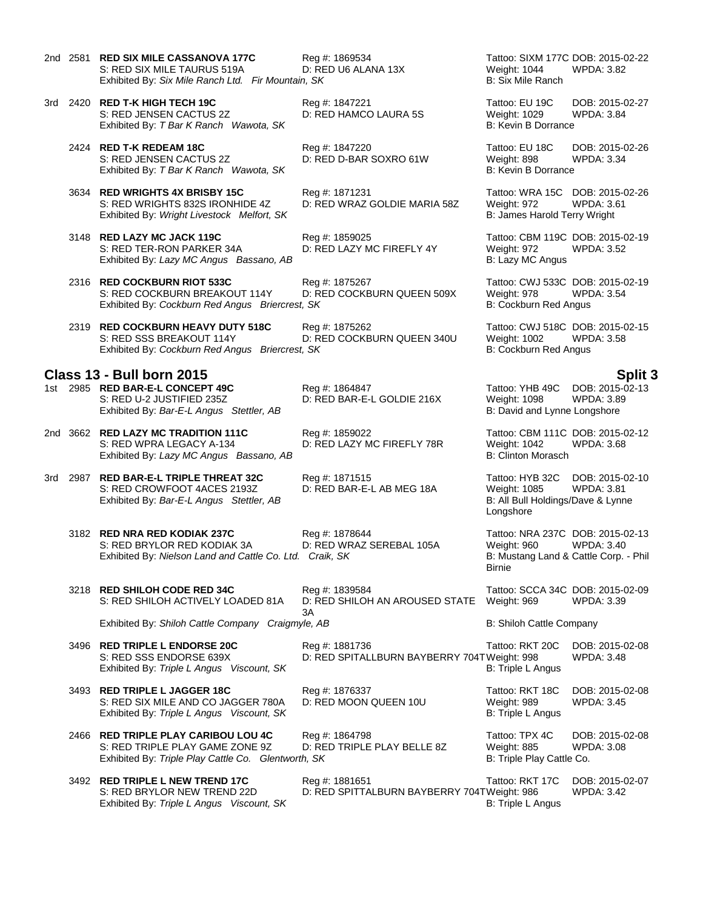|  | 2nd 2581 RED SIX MILE CASSANOVA 177C<br>S: RED SIX MILE TAURUS 519A<br>Exhibited By: Six Mile Ranch Ltd. Fir Mountain, SK | Reg #: 1869534<br>D: RED U6 ALA |
|--|---------------------------------------------------------------------------------------------------------------------------|---------------------------------|
|  | 3rd 2420 <b>RED T-K HIGH TECH 19C</b>                                                                                     | Reg #: 1847221                  |

S: RED JENSEN CACTUS 2Z D: RED HAMCO LAURA 5S Weight: 1029 WPDA: 3.84<br>
Exhibited By: T Bar K Ranch Wawota, SK B: Kevin B Dorrance B: Kevin B Dorrance Exhibited By: *T Bar K Ranch Wawota, SK* 

2424 **RED T-K REDEAM 18C** Reg #: 1847220 **Reg 2015-02-26** Tattoo: EU 18C DOB: 2015-02-26<br>S: RED JENSEN CACTUS 2Z D: RED D-BAR SOXRO 61W Weight: 898 WPDA: 3.34 S: RED JENSEN CACTUS 2Z D: RED D-BAR SOXRO 61W Weight: 898 WPDA: 3.34 Exhibited By: *T Bar K Ranch Wawota, SK* B: Kevin B Dorrance B: Kevin B Dorrance

- 3634 **RED WRIGHTS 4X BRISBY 15C** Reg #: 1871231 **Tattoo: WRA 15C DOB: 2015-02-26**<br>S: RED WRIGHTS 832S IRONHIDE 4Z D: RED WRAZ GOLDIE MARIA 58Z Weight: 972 WPDA: 3.61 Exhibited By: Wright Livestock Melfort, SK B: James Harold Terry Wright
- 3148 **RED LAZY MC JACK 119C** Reg #: 1859025 Tattoo: CBM 119C DOB: 2015-02-19 S: RED TER-RON PARKER 34A D: RED LAZY MC FIREFLY 4Y Weight: 972<br>Exhibited By: *Lazy MC Angus Bassano, AB* B: Lazy MC Angus Exhibited By: Lazy MC Angus Bassano, AB
- 2316 **RED COCKBURN RIOT 533C** Reg #: 1875267 Tattoo: CWJ 533C DOB: 2015-02-19 S: RED COCKBURN BREAKOUT 114Y D: RED COCKBURN QUEEN 509X Weight: 978 WPDA: 3.54<br>
Exhibited By: Cockburn Red Angus Briercrest, SK B: Cockburn Red Angus Exhibited By: Cockburn Red Angus Briercrest, SK

2319 **RED COCKBURN HEAVY DUTY 518C** Reg #: 1875262 Tattoo: CWJ 518C DOB: 2015-02-15 S: RED SSS BREAKOUT 114Y D: RED COCKBURN QUEEN 340U Weight: 1002 WPD<br>Exhibited By: Cockburn Red Angus Briercrest, SK B: Cockburn Red Angus Exhibited By: Cockburn Red Angus Briercrest, SK

### **Class 13 - Bull born 2015 Split 3**

1st 2985 **RED BAR-E-L CONCEPT 49C** Reg #: 1864847 Tattoo: YHB 49C DOB: 2015-02-13 S: RED U-2 JUSTIFIED 235Z **D: RED BAR-E-L GOLDIE 216X** Weight: 1098 WPDA: 3.89<br>Exhibited By: *Bar-E-L Angus Stettler, AB* B: David and Lynne Longshore Exhibited By: Bar-E-L Angus Stettler, AB

2nd 3662 **RED LAZY MC TRADITION 111C** Reg #: 1859022 Tattoo: CBM 111C DOB: 2015-02-12 Exhibited By: Lazy MC Angus Bassano, AB

3rd 2987 **RED BAR-E-L TRIPLE THREAT 32C** Reg #: 1871515 Reg 1812 C Tattoo: HYB 32C DOB: 2015-02-10<br>S: RED CROWFOOT 4ACES 2193Z D: RED BAR-E-L AB MEG 18A Weight: 1085 WPDA: 3.81 S: RED CROWFOOT 4ACES 2193Z D: RED BAR-E-L AB MEG 18A Weight: 1085 WPDA: 3.81<br>Exhibited By: Bar-E-L Angus Stettler, AB B: All Bull Holdings/Dave & Lynne Exhibited By: Bar-E-L Angus Stettler, AB

3182 **RED NRA RED KODIAK 237C** Reg #: 1878644 Tattoo: NRA 237C DOB: 2015-02-13 S: RED BRYLOR RED KODIAK 3A D: RED WRAZ SEREBAL 105A Weight: 960 WPDA: 3.40 Exhibited By: Nielson Land and Cattle Co. Ltd. Craik, SK

3218 **RED SHILOH CODE RED 34C** Reg #: 1839584 Tattoo: SCCA 34C DOB: 2015-02-09<br>S: RED SHILOH ACTIVELY LOADED 81A D: RED SHILOH AN AROUSED STATE Weight: 969 WPDA: 3.39 S: RED SHILOH ACTIVELY LOADED 81A

Exhibited By: *Shiloh Cattle Company Craigmyle, AB* B: Shiloh Cattle Company Craigmyle, AB

Exhibited By: Triple L Angus Viscount, SK B: Triple L Angus B: Triple L Angus

3493 **RED TRIPLE L JAGGER 18C** Reg #: 1876337 Tattoo: RKT 18C DOB: 2015-02-08 S: RED SIX MILE AND CO JAGGER 780A D: RED MOON QUEEN 10U Weight: 989 WPDA: 3.45 Exhibited By: Triple L Angus Viscount, SK B: Triple L Angus B: Triple L Angus

2466 **RED TRIPLE PLAY CARIBOU LOU 4C** Reg #: 1864798 Tattoo: TPX 4C DOB: 2015-02-08 S: RED TRIPLE PLAY GAME ZONE 9Z D: RED TRIPLE PLAY BELLE 8Z Weight: 885 WPI<br>Exhibited By: Triple Play Cattle Co. Glentworth, SK B: Triple Play Cattle Co. Exhibited By: Triple Play Cattle Co. Glentworth, SK

Exhibited By: Triple L Angus Viscount, SK

D: RED WRAZ GOLDIE MARIA 58Z

Tattoo: SIXM 177C DOB: 2015-02-22 NA 13X Weight: 1044 WPDA: 3.82 B: Six Mile Ranch

Tattoo: EU 19C DOB: 2015-02-27

D: RED LAZY MC FIREFLY 78R Weight: 1042<br>B: Clinton Morasch

Longshore

Birnie

Weight: 969

3496 **RED TRIPLE L ENDORSE 20C** Reg #: 1881736 Tattoo: RKT 20C DOB: 2015-02-08 S: RED SSS ENDORSE 639X D: RED SPITALLBURN BAYBERRY 704TWeight: 998 WPDA: 3.48

3A

3492 **RED TRIPLE L NEW TREND 17C** Reg #: 1881651 **Tattoo: RKT 17C** DOB: 2015-02-07<br>S: RED BRYLOR NEW TREND 22D D: RED SPITTALBURN BAYBERRY 704TWeight: 986 WPDA: 3.42 D: RED SPITTALBURN BAYBERRY 704TWeight: 986<br>B: Triple L Angus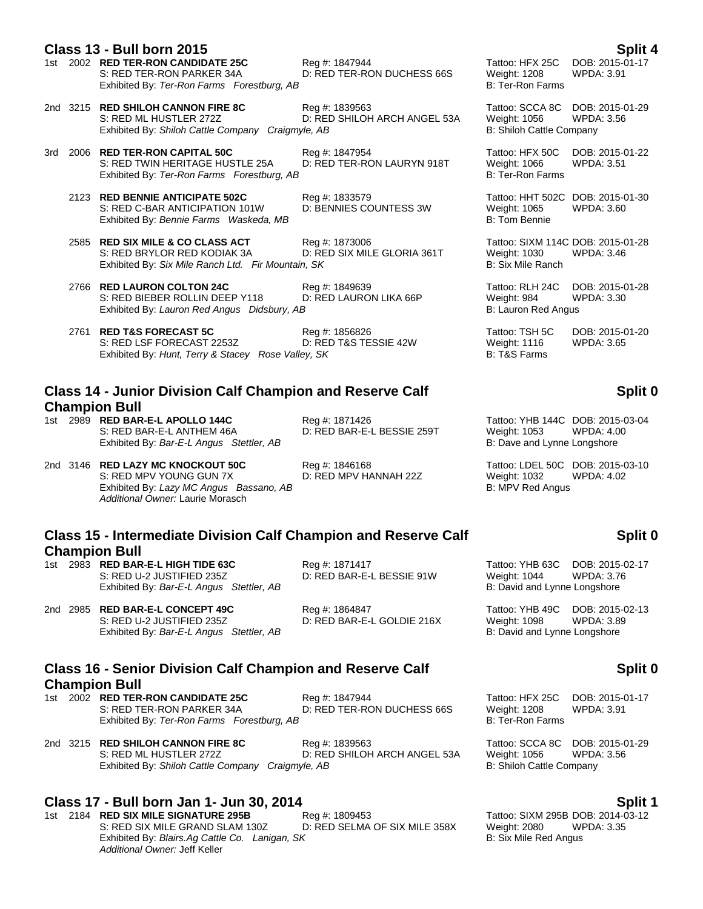### **Class 13 - Bull born 2015 Split 4**

- 1st 2002 **RED TER-RON CANDIDATE 25C** Reg #: 1847944 Tattoo: HFX 25C DOB: 2015-01-17 S: RED TER-RON PARKER 34A D: RED TER-RON DUCHESS 66S Weight: 1208 WPDA: 3.91 Exhibited By: *Ter-Ron Farms Forestburg, AB* B: Ter-Ron Farms **B: Ter-Ron Farms**
- 2nd 3215 **RED SHILOH CANNON FIRE 8C** Reg #: 1839563 Tattoo: SCCA 8C DOB: 2015-01-29 D: RED SHILOH ARCH ANGEL 53A Exhibited By: *Shiloh Cattle Company Craigmyle, AB* B: Shiloh Cattle Company Craigmyle, AB
- 3rd 2006 **RED TER-RON CAPITAL 50C** Reg #: 1847954 Tattoo: HFX 50C DOB: 2015-01-22 S: RED TWIN HERITAGE HUSTLE 25A Exhibited By: Ter-Ron Farms Forestburg, AB **B: Ter-Ron Farms** B: Ter-Ron Farms
	- 2123 **RED BENNIE ANTICIPATE 502C** Reg #: 1833579 Tattoo: HHT 502C DOB: 2015-01-30 S: RED C-BAR ANTICIPATION 101W D: BENNIES COUNTESS 3W Weight: 1065 WPDA: 3.60<br>Exhibited By: *Bennie Farms Waskeda. MB* Exhibited By: Bennie Farms Waskeda, MB
	- 2585 **RED SIX MILE & CO CLASS ACT** Reg #: 1873006 Tattoo: SIXM 114C DOB: 2015-01-28 D: RED SIX MILE GLORIA 361T Weight: 1030 WPDA: 3.46<br>n. SK B: Six Mile Ranch Exhibited By: Six Mile Ranch Ltd. Fir Mountain, SK
	- 2766 **RED LAURON COLTON 24C** Reg #: 1849639 Tattoo: RLH 24C DOB: 2015-01-28 S: RED BIEBER ROLLIN DEEP Y118 Exhibited By: *Lauron Red Angus Didsbury, AB* B: Lauron Red Angus
	- 2761 **RED T&S FORECAST 5C** Reg #: 1856826 Tattoo: TSH 5C DOB: 2015-01-20 S: RED LSF FORECAST 2253Z D: RED T&S TESSIE 42W Weight: 1116 WPDA: 3.65 Exhibited By: *Hunt, Terry & Stacey Rose Valley, SK* B: T&S Farms

### **Class 14 - Junior Division Calf Champion and Reserve Calf Champion Bull**

1st 2989 **RED BAR-E-L APOLLO 144C** Reg #: 1871426 Tattoo: YHB 144C DOB: 2015-03-04 Exhibited By: Bar-E-L Angus Stettler, AB

2nd 3146 **RED LAZY MC KNOCKOUT 50C** Reg #: 1846168 Tattoo: LDEL 50C DOB: 2015-03-10 S: RED MPV YOUNG GUN 7X D: RED MPV HANNAH 22Z Weight: 1032 Exhibited By: *Lazy MC Angus Bassano, AB* B: MPV Red Angus Bis MPV Red Angus *Additional Owner:* Laurie Morasch

## **Class 15 - Intermediate Division Calf Champion and Reserve Calf Champion Bull**

1st 2983 **RED BAR-E-L HIGH TIDE 63C** Reg #: 1871417 Tattoo: YHB 63C DOB: 2015-02-17 Exhibited By: *Bar-E-L Angus Stettler, AB* B: David and Lynne Longshore

2nd 2985 **RED BAR-E-L CONCEPT 49C** Reg #: 1864847 Tattoo: YHB 49C DOB: 2015-02-13 S: RED U-2 JUSTIFIED 235Z D: RED BAR-E-L GOLDIE 216X Weight: 1098 WPDA: 3.89 Exhibited By: *Bar-E-L Angus Stettler, AB* B: David and Lynne Longshore

D: RED BAR-E-L BESSIE 91W

# **Class 16 - Senior Division Calf Champion and Reserve Calf Champion Bull**

1st 2002 **RED TER-RON CANDIDATE 25C** Reg #: 1847944 Tattoo: HFX 25C DOB: 2015-01-17 Exhibited By: Ter-Ron Farms Forestburg, AB B: Ter-Ron Farms **B: Ter-Ron Farms** 

2nd 3215 **RED SHILOH CANNON FIRE 8C** Reg #: 1839563 Tattoo: SCCA 8C DOB: 2015-01-29 S: RED ML HUSTLER 272Z D: RED SHILOH ARCH ANGEL 53A Weight: 1056 WPDA: 3.56 Exhibited By: *Shiloh Cattle Company Craigmyle, AB* B: Shiloh Cattle Company Craigmyle, AB

# **Class 17 - Bull born Jan 1- Jun 30, 2014 Split 1**

1st 2184 **RED SIX MILE SIGNATURE 295B** Reg #: 1809453 Tattoo: SIXM 295B DOB: 2014-03-13-135 RED SIX MILE GRAND SLAM 130Z D: RED SELMA OF SIX MILE 358X Weight: 2080 WPDA: 3.35 S: RED SIX MILE GRAND SLAM 130Z D: RED SELMA OF SIX MILE 358X Weight: 2080 Exhibited By: *Blairs.Ag Cattle Co. Lanigan, SK* B: Six Mile Red Angus *Additional Owner:* Jeff Keller

# **Split 0**

D: RED BAR-E-L BESSIE 259T Weight: 1053 WPDA: 4.0<br>B: Dave and Lynne Longshore

# **Split 0**

# **Split 0**

D: RED TER-RON DUCHESS 66S Weight: 1208 WPDA: 3.91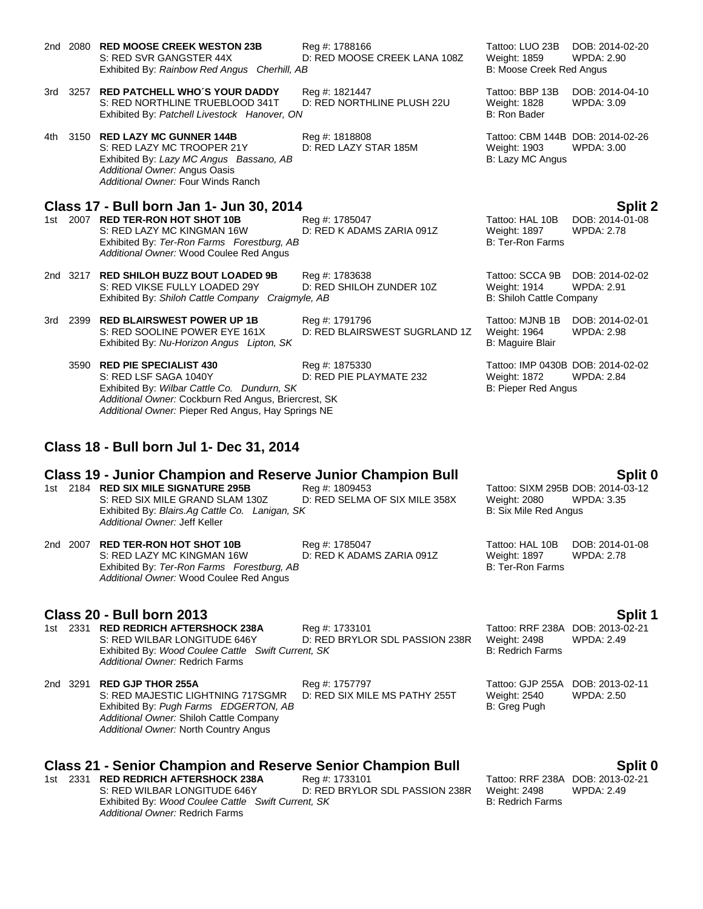- 2nd 2080 **RED MOOSE CREEK WESTON 23B** Reg #: 1788166 Tattoo: LUO 23B DOB: 2014-02-20 D: RED MOOSE CREEK LANA 108Z Exhibited By: *Rainbow Red Angus Cherhill, AB* B: Moose Creek Red Angus 3rd 3257 **RED PATCHELL WHO´S YOUR DADDY** Reg #: 1821447 Tattoo: BBP 13B DOB: 2014-04-10 S: RED NORTHLINE TRUEBLOOD 341T D: RED NORTHLINE PLUSH 22U Weight: 1828 WPDA: 3.09 Exhibited By: Patchell Livestock Hanover, ON Bill Roman Bushell B: Ron Bader 4th 3150 **RED LAZY MC GUNNER 144B** Reg #: 1818808 Tattoo: CBM 144B DOB: 2014-02-26 S: RED LAZY MC TROOPER 21Y D: RED LAZY STAR 185M Weight: 1903 WPDA: 3.00 Exhibited By: *Lazy MC Angus Bassano, AB* B: Lazy MC Angus Bassano, AB *Additional Owner:* Angus Oasis *Additional Owner:* Four Winds Ranch **Class 17 - Bull born Jan 1- Jun 30, 2014**<br>1st 2007 RED TER-RON HOT SHOT 10B **Reg #: 1785047 Split 2** Tattoo: HAL 10B DOB: 2014-01-08 1st 2007 **RED TER-RON HOT SHOT 10B** Reg #: 1785047 **Tattoo: HAL 10B DOB: 2014-01-08**<br>S: RED LAZY MC KINGMAN 16W D: RED K ADAMS ZARIA 091Z Weight: 1897 WPDA: 2.78 S: RED LAZY MC KINGMAN 16W Exhibited By: *Ter-Ron Farms Forestburg, AB* B: Ter-Ron Farms **B: Ter-Ron Farms** *Additional Owner:* Wood Coulee Red Angus 2nd 3217 **RED SHILOH BUZZ BOUT LOADED 9B** Reg #: 1783638 Tattoo: SCCA 9B DOB: 2014-02-02 S: RED VIKSE FULLY LOADED 29Y CRED SHILOH ZUNDER 10Z Weight: 1914 WPDA: 2.91<br>Exhibited By: Shiloh Cattle Company Craigmyle, AB B: Shiloh Cattle Company Exhibited By: Shiloh Cattle Company Craigmyle, AB 3rd 2399 **RED BLAIRSWEST POWER UP 1B** Reg #: 1791796 Tattoo: MJNB 1B DOB: 2014-02-01 S: RED SOOLINE POWER EYE 161X D: RED BLAIRSWEST SUGRLAND 1Z Weight: 1964 WPDA: 2.98 Exhibited By: *Nu-Horizon Angus Lipton, SK* B: Maguire Blair 3590 **RED PIE SPECIALIST 430** Reg #: 1875330 Tattoo: IMP 0430B DOB: 2014-02-02 S: RED LSF SAGA 1040Y D: RED PIE PLAYMATE 232 Weight: 1872 WPDA: 2.84 Exhibited By: *Wilbar Cattle Co. Dundurn, SK* B: Pieper Red Angus
	- **Class 18 - Bull born Jul 1- Dec 31, 2014**

# **Class 19 - Junior Champion and Reserve Junior Champion Bull Split 0**

1st 2184 **RED SIX MILE SIGNATURE 295B** Reg #: 1809453 **Tattoo: SIXM** S: RED SIX MILE GRAND SLAM 130Z D: RED SELMA OF SIX MILE 358X Weight: 2080 S: RED SIX MILE GRAND SLAM 130Z D: RED SELMA OF SIX MILE 358X Weight: 2080 WPDA: 3.35<br>Exhibited By: *Biairs.Ag Cattle Co. Lanigan, SK* B: Six Mile Red Angus Exhibited By: Blairs.Ag Cattle Co. Lanigan, SK *Additional Owner:* Jeff Keller

*Additional Owner:* Cockburn Red Angus, Briercrest, SK *Additional Owner:* Pieper Red Angus, Hay Springs NE

2nd 2007 **RED TER-RON HOT SHOT 10B** Reg #: 1785047 Tattoo: HAL 10B DOB: 2014-01-08 S: RED LAZY MC KINGMAN 16W D: RED K ADAMS ZARIA 091Z Weight: 1897<br>Exhibited By: Ter-Ron Farms Forestburg. AB<br>B: 2.787 B: 2.787 B: 2.787 B Exhibited By: Ter-Ron Farms Forestburg, AB *Additional Owner:* Wood Coulee Red Angus

# **Class 20 - Bull born 2013 Split 1**

1st 2331 **RED REDRICH AFTERSHOCK 238A** Reg #: 1733101 S: RED WILBAR LONGITUDE 646Y D: RED BRYLOR SDL PASSION 238R Weight: 2498 WPDA: 2.49<br>Exhibited By: Wood Coulee Cattle Swift Current, SK B: Redrich Farms Exhibited By: Wood Coulee Cattle Swift Current, SK *Additional Owner:* Redrich Farms

2nd 3291 **RED GJP THOR 255A** Reg #: 1757797 Tattoo: GJP 255A DOB: 2013-02-11 S: RED MAJESTIC LIGHTNING 717SGMR D: RED SIX MILE MS PATHY 255T Weight: 2540<br>Exhibited By: Pugh Farms EDGERTON, AB B: Greg Pugh Exhibited By: Pugh Farms EDGERTON, AB *Additional Owner:* Shiloh Cattle Company *Additional Owner:* North Country Angus

# **Class 21 - Senior Champion and Reserve Senior Champion Bull Split 0**

Exhibited By: Wood Coulee Cattle Swift Current, SK *Additional Owner:* Redrich Farms

1st 2331 **RED REDRICH AFTERSHOCK 238A** Reg #: 1733101 Tattoo: RRF 238A DOB: 2013-0<br>S: RED WILBAR LONGITUDE 646Y D: RED BRYLOR SDL PASSION 238R Weight: 2498 WPDA: 2.49 S: RED WILBAR LONGITUDE 646Y D: RED BRYLOR SDL PASSION 238R Weight: 2498<br>Exhibited By: Wood Coulee Cattle Swift Current, SK B: Redrich Farms